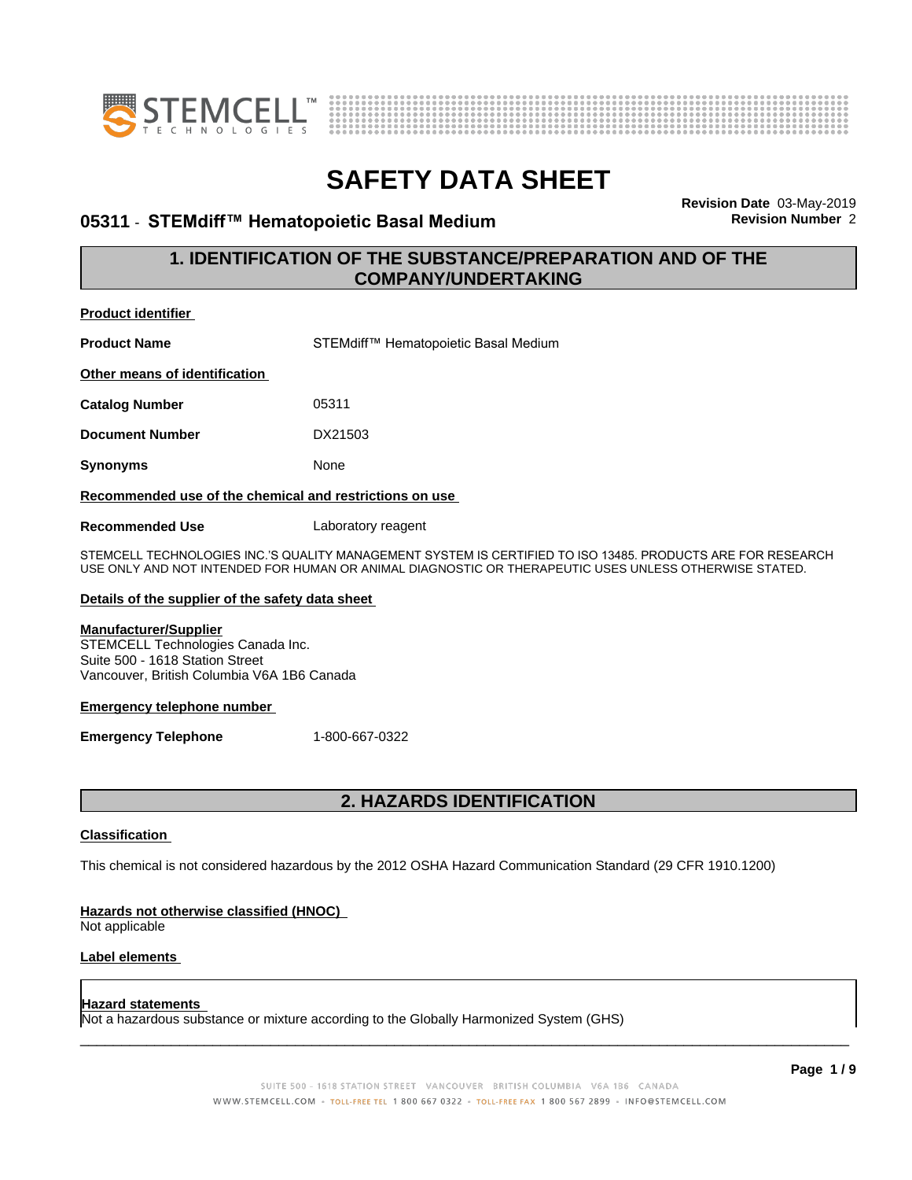



### **05311 · STEMdiff™ Hematopoietic Basal Medium**

**Revision Date** 03-May-2019

### **1. IDENTIFICATION OF THE SUBSTANCE/PREPARATION AND OF THE COMPANY/UNDERTAKING**

| <b>Product identifier</b>                                                                                                                          |                                                                                                                                                                                                                      |
|----------------------------------------------------------------------------------------------------------------------------------------------------|----------------------------------------------------------------------------------------------------------------------------------------------------------------------------------------------------------------------|
| <b>Product Name</b>                                                                                                                                | STEMdiff™ Hematopoietic Basal Medium                                                                                                                                                                                 |
| Other means of identification                                                                                                                      |                                                                                                                                                                                                                      |
| <b>Catalog Number</b>                                                                                                                              | 05311                                                                                                                                                                                                                |
| <b>Document Number</b>                                                                                                                             | DX21503                                                                                                                                                                                                              |
| Synonyms                                                                                                                                           | None                                                                                                                                                                                                                 |
| Recommended use of the chemical and restrictions on use                                                                                            |                                                                                                                                                                                                                      |
| <b>Recommended Use</b>                                                                                                                             | Laboratory reagent                                                                                                                                                                                                   |
|                                                                                                                                                    | STEMCELL TECHNOLOGIES INC.'S QUALITY MANAGEMENT SYSTEM IS CERTIFIED TO ISO 13485. PRODUCTS ARE FOR RESEARCH<br>USE ONLY AND NOT INTENDED FOR HUMAN OR ANIMAL DIAGNOSTIC OR THERAPEUTIC USES UNLESS OTHERWISE STATED. |
| Details of the supplier of the safety data sheet                                                                                                   |                                                                                                                                                                                                                      |
| <b>Manufacturer/Supplier</b><br>STEMCELL Technologies Canada Inc.<br>Suite 500 - 1618 Station Street<br>Vancouver, British Columbia V6A 1B6 Canada |                                                                                                                                                                                                                      |
| <b>Emergency telephone number</b>                                                                                                                  |                                                                                                                                                                                                                      |
| <b>Emergency Telephone</b>                                                                                                                         | 1-800-667-0322                                                                                                                                                                                                       |
|                                                                                                                                                    |                                                                                                                                                                                                                      |

### **2. HAZARDS IDENTIFICATION**

### **Classification**

This chemical is not considered hazardous by the 2012 OSHA Hazard Communication Standard (29 CFR 1910.1200)

### **Hazards not otherwise classified (HNOC)**

Not applicable

### **Label elements**

### **Hazard statements**

Not a hazardous substance or mixture according to the Globally Harmonized System (GHS)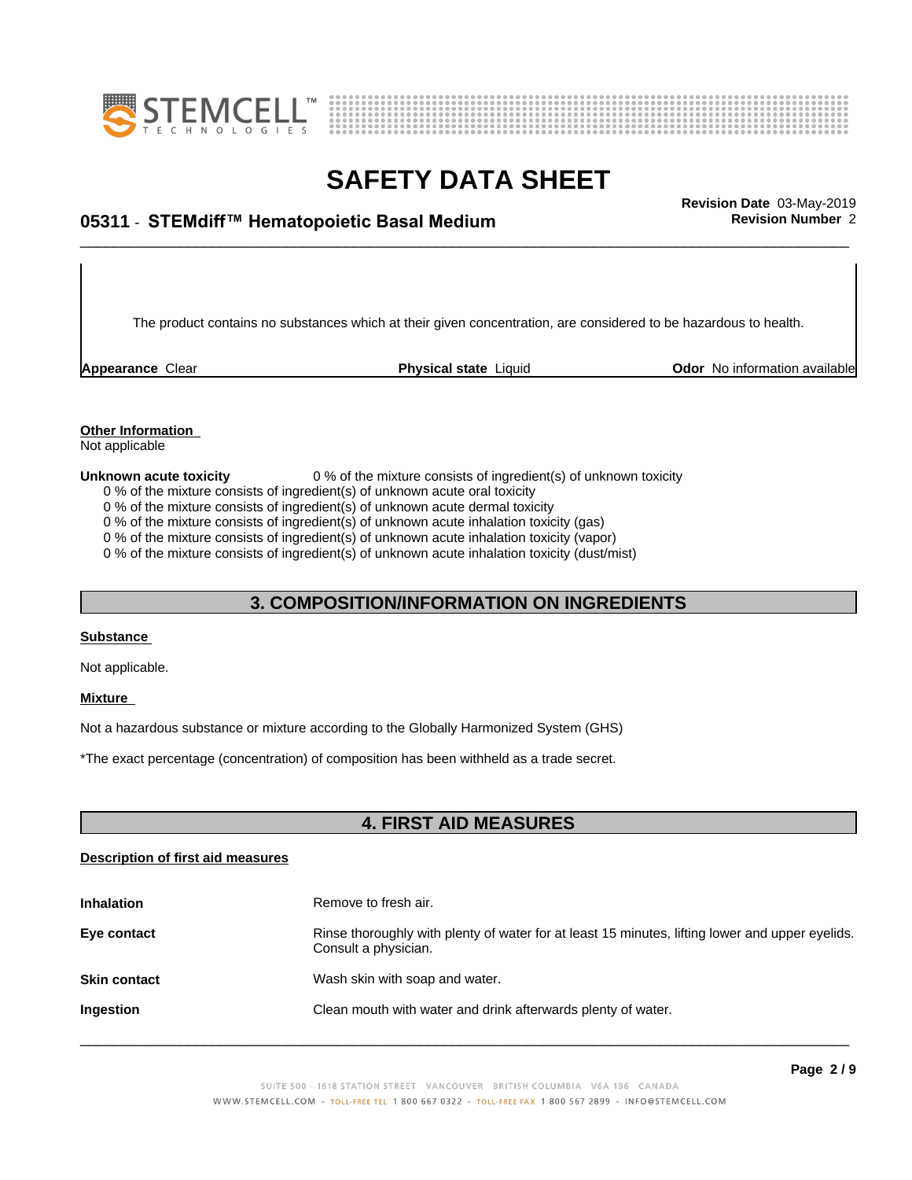



# \_\_\_\_\_\_\_\_\_\_\_\_\_\_\_\_\_\_\_\_\_\_\_\_\_\_\_\_\_\_\_\_\_\_\_\_\_\_\_\_\_\_\_\_\_\_\_\_\_\_\_\_\_\_\_\_\_\_\_\_\_\_\_\_\_\_\_\_\_\_\_\_\_\_\_\_\_\_\_\_\_\_\_\_\_\_\_\_\_\_\_\_\_ **Revision Date** 03-May-2019 **05311** - **STEMdiff™ HematopoieticBasalMedium Revision Number** 2

The product contains no substances which at their given concentration, are considered to be hazardous to health.

**Appearance** Clear **Physical state** Liquid **Odor No information available Appearance** Clear

### **Other Information**

Not applicable

#### **Unknown acute toxicity** 0 % of the mixture consists of ingredient(s) of unknown toxicity

0 % of the mixture consists of ingredient(s) of unknown acute oral toxicity

0 % of the mixture consists of ingredient(s) of unknown acute dermal toxicity

0 % of the mixture consists of ingredient(s) of unknown acute inhalation toxicity (gas)

0 % of the mixture consists of ingredient(s) of unknown acute inhalation toxicity (vapor)

0 % of the mixture consists of ingredient(s) of unknown acute inhalation toxicity (dust/mist)

### **3. COMPOSITION/INFORMATION ON INGREDIENTS**

### **Substance**

Not applicable.

### **Mixture**

Not a hazardous substance or mixture according to the Globally Harmonized System (GHS)

\*The exact percentage (concentration) ofcomposition has been withheld as a trade secret.

### **4. FIRST AID MEASURES**

### **Description of first aid measures**

| <b>Inhalation</b>   | Remove to fresh air.                                                                                                    |
|---------------------|-------------------------------------------------------------------------------------------------------------------------|
| Eye contact         | Rinse thoroughly with plenty of water for at least 15 minutes, lifting lower and upper eyelids.<br>Consult a physician. |
| <b>Skin contact</b> | Wash skin with soap and water.                                                                                          |
| Ingestion           | Clean mouth with water and drink afterwards plenty of water.                                                            |
|                     |                                                                                                                         |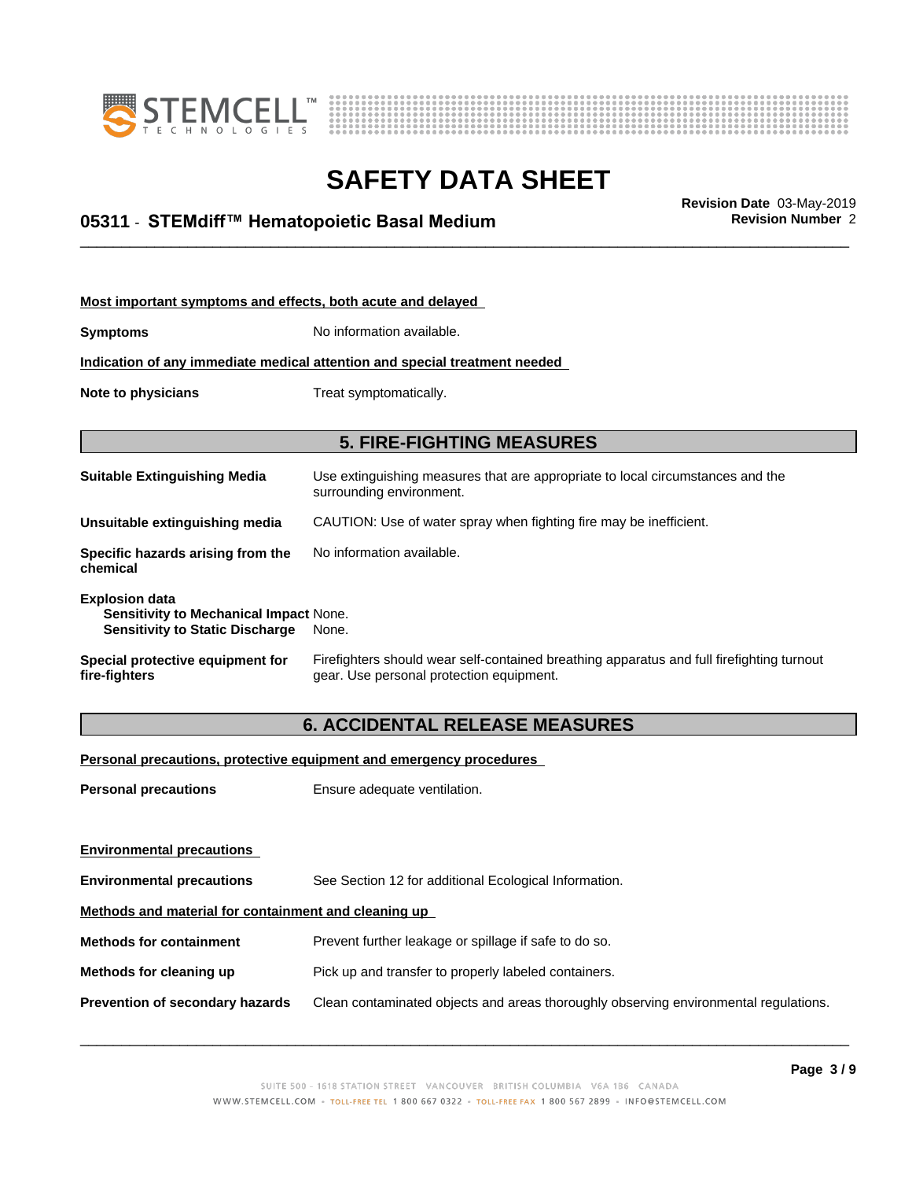



\_\_\_\_\_\_\_\_\_\_\_\_\_\_\_\_\_\_\_\_\_\_\_\_\_\_\_\_\_\_\_\_\_\_\_\_\_\_\_\_\_\_\_\_\_\_\_\_\_\_\_\_\_\_\_\_\_\_\_\_\_\_\_\_\_\_\_\_\_\_\_\_\_\_\_\_\_\_\_\_\_\_\_\_\_\_\_\_\_\_\_\_\_ **Revision Date** 03-May-2019 **05311** - **STEMdiff™ HematopoieticBasalMedium Revision Number** 2

| Most important symptoms and effects, both acute and delayed                                               |                                                                                                                                       |
|-----------------------------------------------------------------------------------------------------------|---------------------------------------------------------------------------------------------------------------------------------------|
| <b>Symptoms</b>                                                                                           | No information available.                                                                                                             |
|                                                                                                           | Indication of any immediate medical attention and special treatment needed                                                            |
| Note to physicians                                                                                        | Treat symptomatically.                                                                                                                |
|                                                                                                           |                                                                                                                                       |
|                                                                                                           | <b>5. FIRE-FIGHTING MEASURES</b>                                                                                                      |
| <b>Suitable Extinguishing Media</b>                                                                       | Use extinguishing measures that are appropriate to local circumstances and the<br>surrounding environment.                            |
| Unsuitable extinquishing media                                                                            | CAUTION: Use of water spray when fighting fire may be inefficient.                                                                    |
| Specific hazards arising from the<br>chemical                                                             | No information available.                                                                                                             |
| <b>Explosion data</b><br>Sensitivity to Mechanical Impact None.<br><b>Sensitivity to Static Discharge</b> | None.                                                                                                                                 |
| Special protective equipment for<br>fire-fighters                                                         | Firefighters should wear self-contained breathing apparatus and full firefighting turnout<br>gear. Use personal protection equipment. |

### **6. ACCIDENTAL RELEASE MEASURES**

**Personal precautions, protective equipment and emergency procedures**

**Personal precautions** Ensure adequate ventilation.

**Environmental precautions Environmental precautions** See Section 12 for additional Ecological Information. **Methods and material for containment and cleaning up Methods for containment** Prevent further leakage or spillage if safe to do so. **Methods for cleaning up** Pick up and transfer to properly labeled containers. **Prevention of secondary hazards** Clean contaminated objects and areas thoroughly observing environmental regulations.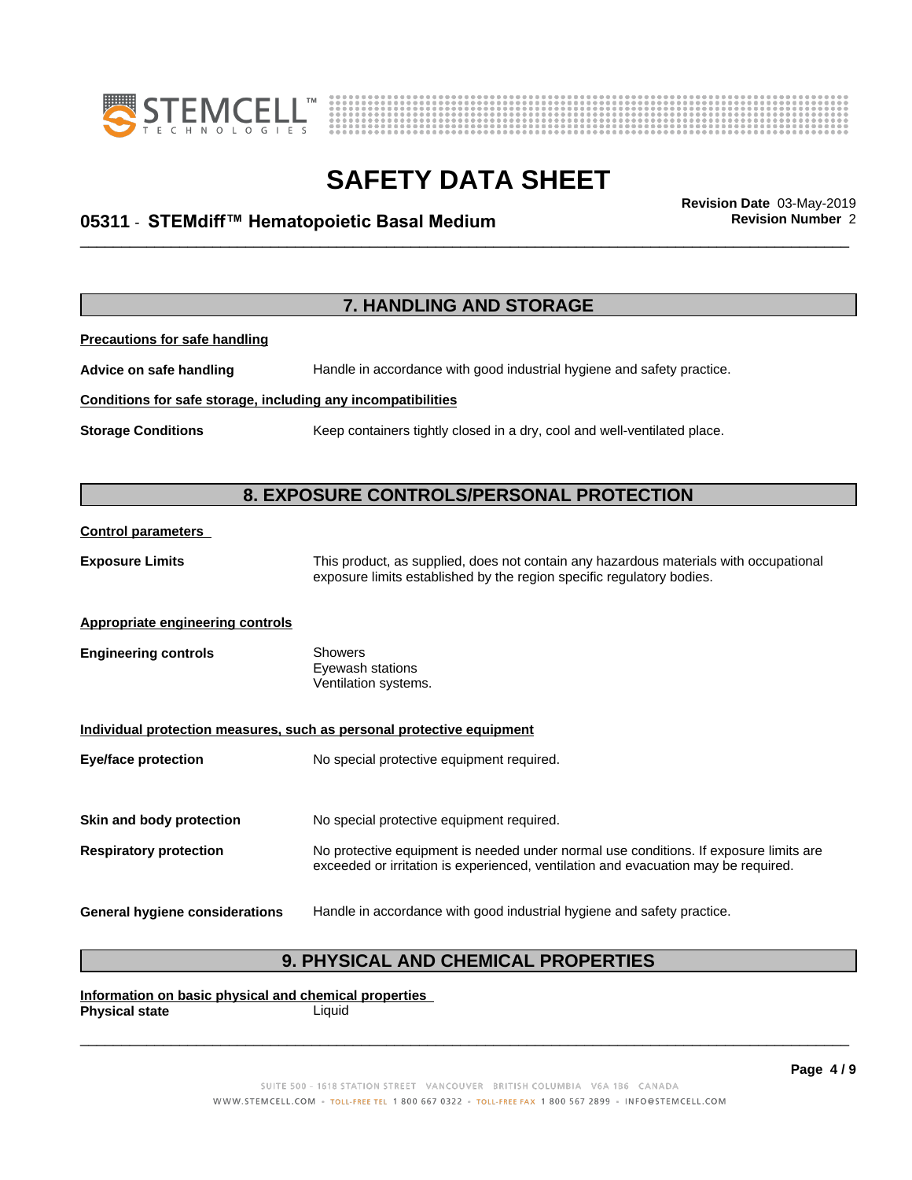



# \_\_\_\_\_\_\_\_\_\_\_\_\_\_\_\_\_\_\_\_\_\_\_\_\_\_\_\_\_\_\_\_\_\_\_\_\_\_\_\_\_\_\_\_\_\_\_\_\_\_\_\_\_\_\_\_\_\_\_\_\_\_\_\_\_\_\_\_\_\_\_\_\_\_\_\_\_\_\_\_\_\_\_\_\_\_\_\_\_\_\_\_\_ **Revision Date** 03-May-2019 **05311** - **STEMdiff™ HematopoieticBasalMedium Revision Number** 2

**7. HANDLING AND STORAGE Precautions for safe handling Advice on safe handling** Handle in accordance with good industrial hygiene and safety practice. **Conditions for safe storage, including any incompatibilities Storage Conditions** Keep containers tightly closed in a dry, cool and well-ventilated place. **8. EXPOSURE CONTROLS/PERSONAL PROTECTION Control parameters Exposure Limits** This product, as supplied, does not contain any hazardous materials with occupational exposure limits established by the region specific regulatory bodies. **Appropriate engineering controls Engineering controls** Showers Eyewash stations Ventilation systems. **Individual protection measures, such as personal protective equipment Eye/face protection** No special protective equipment required. **Skin and body protection** No special protective equipment required. **Respiratory protection** No protective equipment is needed under normal use conditions. If exposure limits are exceeded or irritation is experienced, ventilation and evacuation may be required. **General hygiene considerations** Handle in accordance with good industrial hygiene and safety practice.

### **9. PHYSICAL AND CHEMICAL PROPERTIES**

**Information on basic physical and chemical properties Physical state** Liquid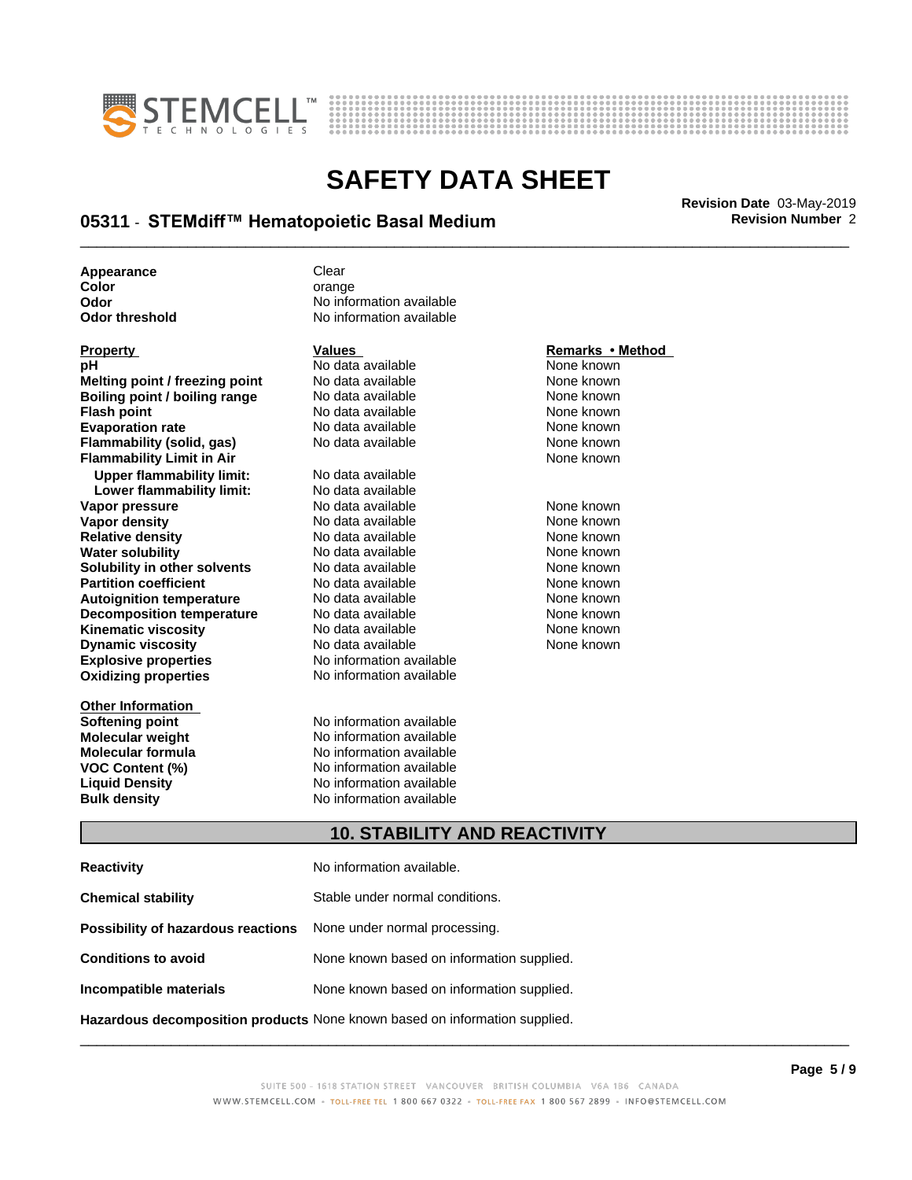



# \_\_\_\_\_\_\_\_\_\_\_\_\_\_\_\_\_\_\_\_\_\_\_\_\_\_\_\_\_\_\_\_\_\_\_\_\_\_\_\_\_\_\_\_\_\_\_\_\_\_\_\_\_\_\_\_\_\_\_\_\_\_\_\_\_\_\_\_\_\_\_\_\_\_\_\_\_\_\_\_\_\_\_\_\_\_\_\_\_\_\_\_\_ **Revision Date** 03-May-2019 **05311** - **STEMdiff™ HematopoieticBasalMedium Revision Number** 2

**Appearance** Clear

| <u>Property</u>                  | values                   | Remarks • Method |
|----------------------------------|--------------------------|------------------|
| рH                               | No data available        | None known       |
| Melting point / freezing point   | No data available        | None known       |
| Boiling point / boiling range    | No data available        | None known       |
| <b>Flash point</b>               | No data available        | None known       |
| <b>Evaporation rate</b>          | No data available        | None known       |
| Flammability (solid, gas)        | No data available        | None known       |
| <b>Flammability Limit in Air</b> |                          | None known       |
| <b>Upper flammability limit:</b> | No data available        |                  |
| Lower flammability limit:        | No data available        |                  |
| Vapor pressure                   | No data available        | None known       |
| Vapor density                    | No data available        | None known       |
| <b>Relative density</b>          | No data available        | None known       |
| <b>Water solubility</b>          | No data available        | None known       |
| Solubility in other solvents     | No data available        | None known       |
| <b>Partition coefficient</b>     | No data available        | None known       |
| <b>Autoignition temperature</b>  | No data available        | None known       |
| <b>Decomposition temperature</b> | No data available        | None known       |
| <b>Kinematic viscosity</b>       | No data available        | None known       |
| <b>Dynamic viscosity</b>         | No data available        | None known       |
| <b>Explosive properties</b>      | No information available |                  |
| <b>Oxidizing properties</b>      | No information available |                  |
| <b>Other Information</b>         |                          |                  |
| Softening point                  | No information available |                  |
|                                  |                          |                  |

**Color Color Color Color Color Color Color Color Color Color Color Color Color Color Color Color Color Color Color Color Color Color Color Color Color Color Color Color Odor Odor** No information available<br> **Odor threshold No information available No information available** 

**information** available **Molecular weight Molecular is a structure of the No information available Molecular formula Molecular System Molecular formula Molecular formula** No information available<br> **VOC Content (%)** No information available **VOC Content (%)** No information available **Liquid Density** No information available **Bulk density** No information available

### **Property Values Remarks•Method**

### **10. STABILITY AND REACTIVITY**

| <b>Reactivity</b>                                                       | No information available.                 |
|-------------------------------------------------------------------------|-------------------------------------------|
| <b>Chemical stability</b>                                               | Stable under normal conditions.           |
| <b>Possibility of hazardous reactions</b> None under normal processing. |                                           |
| <b>Conditions to avoid</b>                                              | None known based on information supplied. |
| Incompatible materials                                                  | None known based on information supplied. |
|                                                                         |                                           |

**Hazardous decomposition products** None known based on information supplied.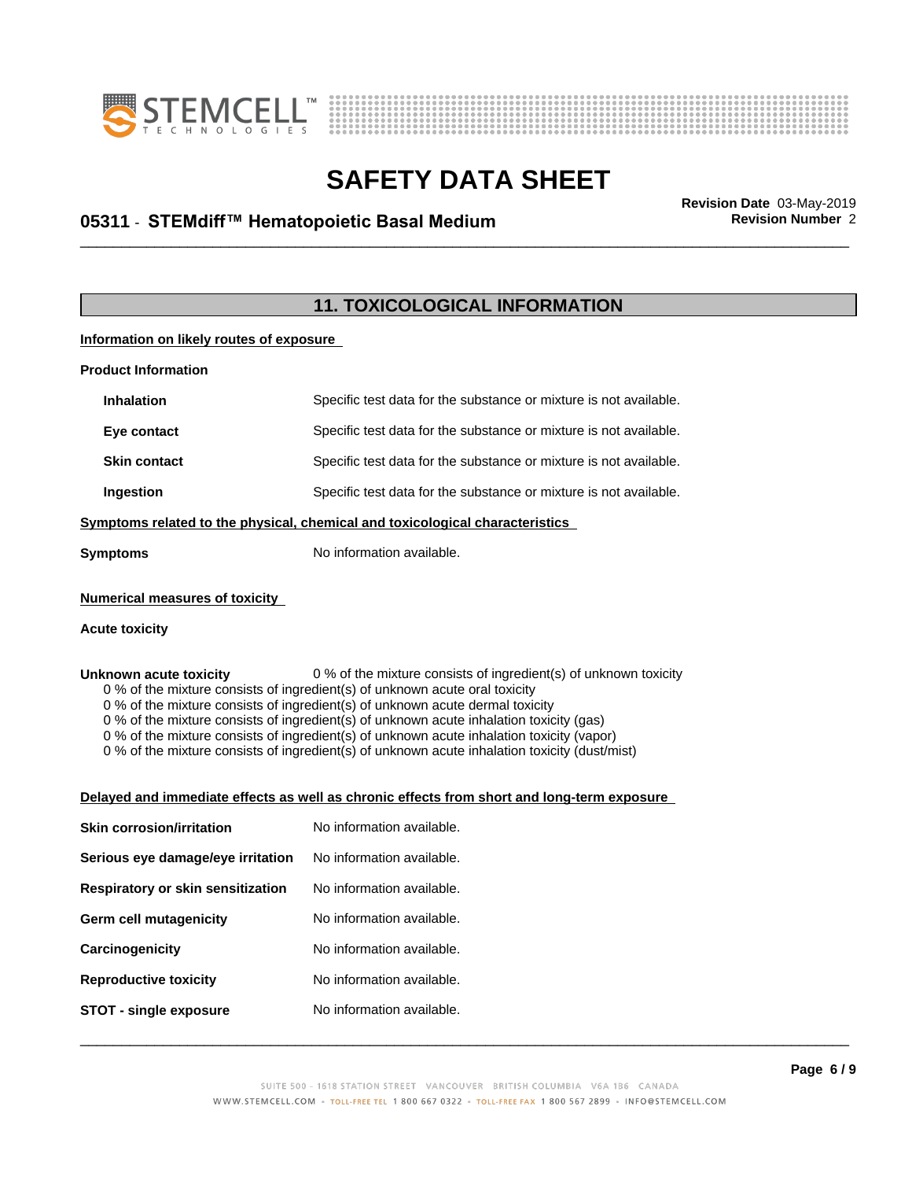



# \_\_\_\_\_\_\_\_\_\_\_\_\_\_\_\_\_\_\_\_\_\_\_\_\_\_\_\_\_\_\_\_\_\_\_\_\_\_\_\_\_\_\_\_\_\_\_\_\_\_\_\_\_\_\_\_\_\_\_\_\_\_\_\_\_\_\_\_\_\_\_\_\_\_\_\_\_\_\_\_\_\_\_\_\_\_\_\_\_\_\_\_\_ **Revision Date** 03-May-2019 **05311** - **STEMdiff™ HematopoieticBasalMedium Revision Number** 2

### **11. TOXICOLOGICAL INFORMATION**

#### **Information on likely routes of exposure**

| <b>Product Information</b>            |                                                                                                                                                                                                                                                                                                                                                                                                                                                                      |
|---------------------------------------|----------------------------------------------------------------------------------------------------------------------------------------------------------------------------------------------------------------------------------------------------------------------------------------------------------------------------------------------------------------------------------------------------------------------------------------------------------------------|
| <b>Inhalation</b>                     | Specific test data for the substance or mixture is not available.                                                                                                                                                                                                                                                                                                                                                                                                    |
| Eye contact                           | Specific test data for the substance or mixture is not available.                                                                                                                                                                                                                                                                                                                                                                                                    |
| <b>Skin contact</b>                   | Specific test data for the substance or mixture is not available.                                                                                                                                                                                                                                                                                                                                                                                                    |
| Ingestion                             | Specific test data for the substance or mixture is not available.                                                                                                                                                                                                                                                                                                                                                                                                    |
|                                       | Symptoms related to the physical, chemical and toxicological characteristics                                                                                                                                                                                                                                                                                                                                                                                         |
| <b>Symptoms</b>                       | No information available.                                                                                                                                                                                                                                                                                                                                                                                                                                            |
| <b>Numerical measures of toxicity</b> |                                                                                                                                                                                                                                                                                                                                                                                                                                                                      |
| <b>Acute toxicity</b>                 |                                                                                                                                                                                                                                                                                                                                                                                                                                                                      |
|                                       | 0 % of the mixture consists of ingredient(s) of unknown acute dermal toxicity<br>0 % of the mixture consists of ingredient(s) of unknown acute inhalation toxicity (gas)<br>0 % of the mixture consists of ingredient(s) of unknown acute inhalation toxicity (vapor)<br>0 % of the mixture consists of ingredient(s) of unknown acute inhalation toxicity (dust/mist)<br>Delayed and immediate effects as well as chronic effects from short and long-term exposure |
| <b>Skin corrosion/irritation</b>      | No information available.                                                                                                                                                                                                                                                                                                                                                                                                                                            |
| Serious eye damage/eye irritation     | No information available.                                                                                                                                                                                                                                                                                                                                                                                                                                            |
| Respiratory or skin sensitization     | No information available.                                                                                                                                                                                                                                                                                                                                                                                                                                            |
| <b>Germ cell mutagenicity</b>         | No information available.                                                                                                                                                                                                                                                                                                                                                                                                                                            |
| Carcinogenicity                       | No information available.                                                                                                                                                                                                                                                                                                                                                                                                                                            |
| <b>Reproductive toxicity</b>          | No information available.                                                                                                                                                                                                                                                                                                                                                                                                                                            |
| <b>STOT - single exposure</b>         | No information available.                                                                                                                                                                                                                                                                                                                                                                                                                                            |
|                                       | Page $6/9$                                                                                                                                                                                                                                                                                                                                                                                                                                                           |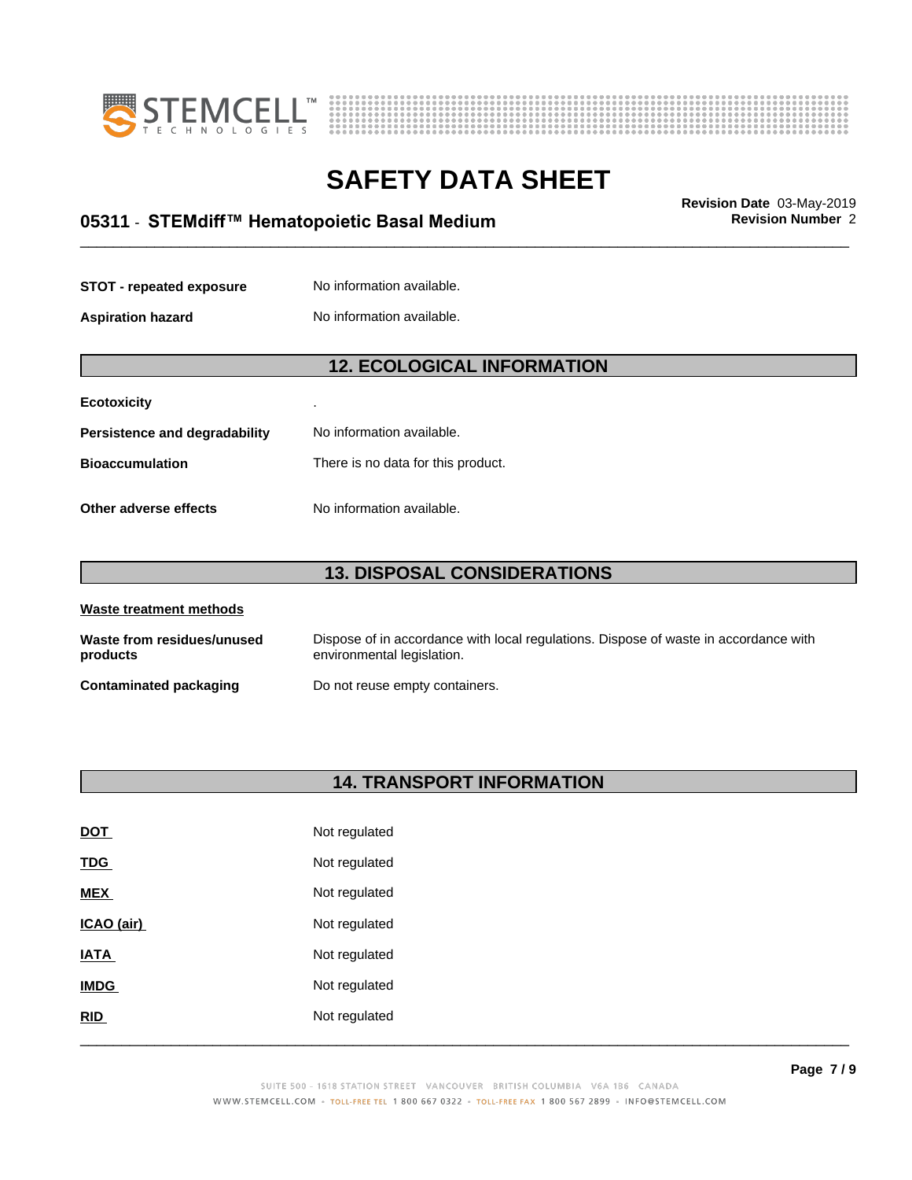



# \_\_\_\_\_\_\_\_\_\_\_\_\_\_\_\_\_\_\_\_\_\_\_\_\_\_\_\_\_\_\_\_\_\_\_\_\_\_\_\_\_\_\_\_\_\_\_\_\_\_\_\_\_\_\_\_\_\_\_\_\_\_\_\_\_\_\_\_\_\_\_\_\_\_\_\_\_\_\_\_\_\_\_\_\_\_\_\_\_\_\_\_\_ **Revision Date** 03-May-2019 **05311** - **STEMdiff™ HematopoieticBasalMedium Revision Number** 2

| <b>STOT - repeated exposure</b> | No information available. |
|---------------------------------|---------------------------|
| <b>Aspiration hazard</b>        | No information available. |

### **12. ECOLOGICAL INFORMATION**

| <b>Ecotoxicity</b>            | ٠                                  |
|-------------------------------|------------------------------------|
| Persistence and degradability | No information available.          |
| <b>Bioaccumulation</b>        | There is no data for this product. |
| Other adverse effects         | No information available.          |

### **13. DISPOSAL CONSIDERATIONS**

| Waste treatment methods                |                                                                                                                    |  |  |
|----------------------------------------|--------------------------------------------------------------------------------------------------------------------|--|--|
| Waste from residues/unused<br>products | Dispose of in accordance with local regulations. Dispose of waste in accordance with<br>environmental legislation. |  |  |
| Contaminated packaging                 | Do not reuse empty containers.                                                                                     |  |  |

### **14. TRANSPORT INFORMATION**

| <b>DOT</b>  | Not regulated |
|-------------|---------------|
| <b>TDG</b>  | Not regulated |
| <b>MEX</b>  | Not regulated |
| ICAO (air)  | Not regulated |
| <b>IATA</b> | Not regulated |
| <b>IMDG</b> | Not regulated |
| RID         | Not regulated |
|             |               |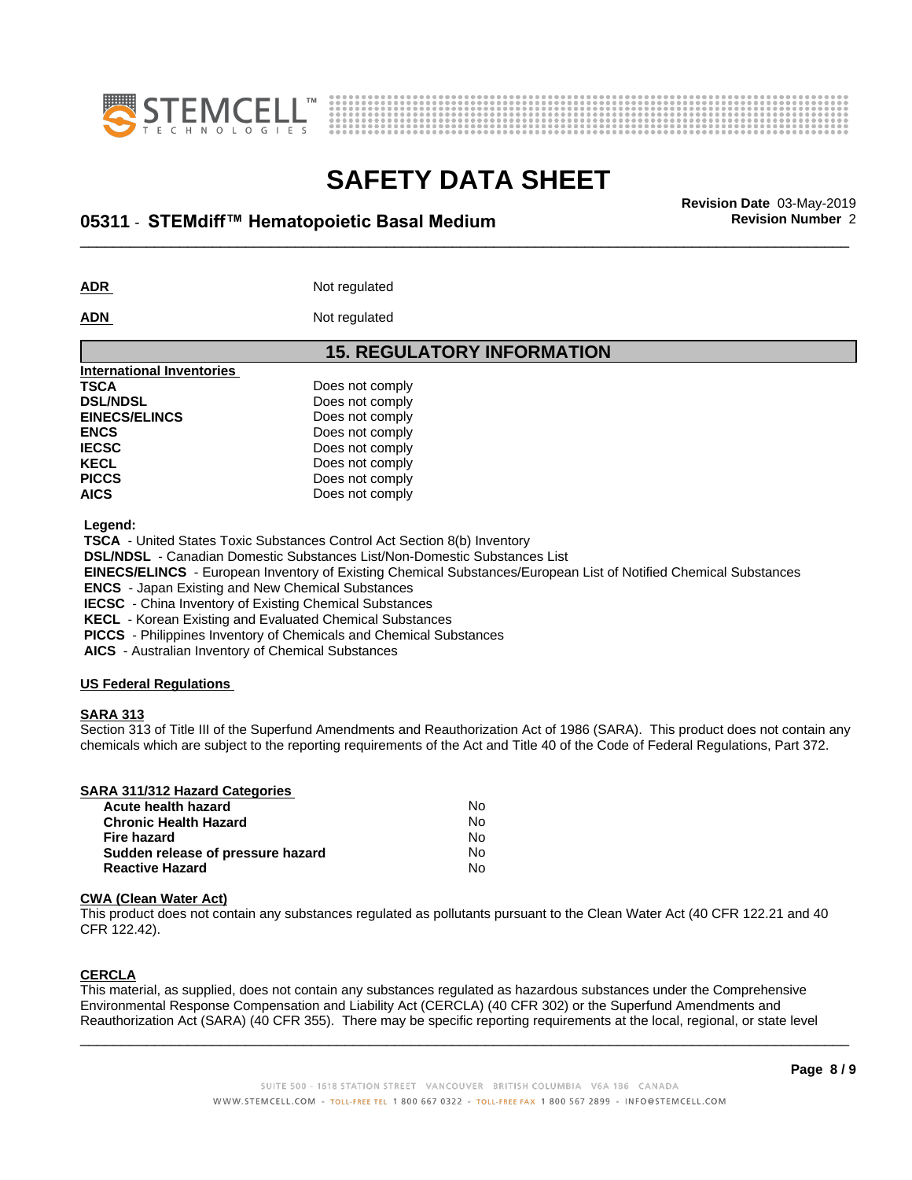



# \_\_\_\_\_\_\_\_\_\_\_\_\_\_\_\_\_\_\_\_\_\_\_\_\_\_\_\_\_\_\_\_\_\_\_\_\_\_\_\_\_\_\_\_\_\_\_\_\_\_\_\_\_\_\_\_\_\_\_\_\_\_\_\_\_\_\_\_\_\_\_\_\_\_\_\_\_\_\_\_\_\_\_\_\_\_\_\_\_\_\_\_\_ **Revision Date** 03-May-2019 **05311** - **STEMdiff™ HematopoieticBasalMedium Revision Number** 2

ADR **ADR** Not regulated

#### **ADN** Not regulated

| <b>15. REGULATORY INFORMATION</b> |
|-----------------------------------|
|                                   |
| Does not comply                   |
| Does not comply                   |
| Does not comply                   |
| Does not comply                   |
| Does not comply                   |
| Does not comply                   |
| Does not comply                   |
| Does not comply                   |
|                                   |

 **Legend:**

 **TSCA** - United States Toxic Substances Control Act Section 8(b) Inventory

 **DSL/NDSL** - Canadian Domestic Substances List/Non-Domestic Substances List

 **EINECS/ELINCS** - European Inventory of Existing Chemical Substances/European List of Notified Chemical Substances

 **ENCS** - Japan Existing and New Chemical Substances

 **IECSC** - China Inventory of Existing Chemical Substances

 **KECL** - Korean Existing and Evaluated Chemical Substances

 **PICCS** - Philippines Inventory of Chemicals and Chemical Substances

 **AICS** - Australian Inventory of Chemical Substances

### **US Federal Regulations**

### **SARA 313**

Section 313 of Title III of the Superfund Amendments and Reauthorization Act of 1986 (SARA). This product does not contain any chemicals which are subject to the reporting requirements of the Act and Title 40 of the Code of Federal Regulations, Part 372.

| SARA 311/312 Hazard Categories |    |  |
|--------------------------------|----|--|
| Acute health hazard            | No |  |
|                                |    |  |

| N٥  |  |
|-----|--|
| N٥  |  |
| No. |  |
| N٥  |  |
|     |  |

### **CWA** (Clean Water Act)

This product does not contain any substances regulated as pollutants pursuant to the Clean Water Act (40 CFR 122.21 and 40 CFR 122.42).

### **CERCLA**

This material, as supplied, does not contain any substances regulated as hazardous substances under the Comprehensive Environmental Response Compensation and Liability Act (CERCLA) (40 CFR 302) or the Superfund Amendments and Reauthorization Act (SARA) (40 CFR 355). There may be specific reporting requirements at the local, regional, or state level